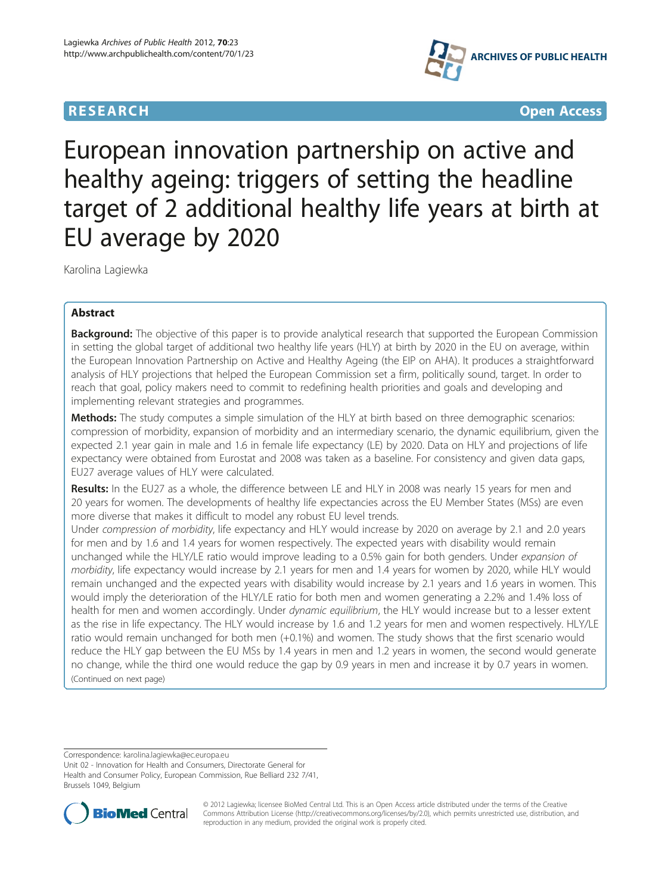



European innovation partnership on active and healthy ageing: triggers of setting the headline target of 2 additional healthy life years at birth at EU average by 2020

Karolina Lagiewka

# Abstract

**Background:** The objective of this paper is to provide analytical research that supported the European Commission in setting the global target of additional two healthy life years (HLY) at birth by 2020 in the EU on average, within the European Innovation Partnership on Active and Healthy Ageing (the EIP on AHA). It produces a straightforward analysis of HLY projections that helped the European Commission set a firm, politically sound, target. In order to reach that goal, policy makers need to commit to redefining health priorities and goals and developing and implementing relevant strategies and programmes.

Methods: The study computes a simple simulation of the HLY at birth based on three demographic scenarios: compression of morbidity, expansion of morbidity and an intermediary scenario, the dynamic equilibrium, given the expected 2.1 year gain in male and 1.6 in female life expectancy (LE) by 2020. Data on HLY and projections of life expectancy were obtained from Eurostat and 2008 was taken as a baseline. For consistency and given data gaps, EU27 average values of HLY were calculated.

Results: In the EU27 as a whole, the difference between LE and HLY in 2008 was nearly 15 years for men and 20 years for women. The developments of healthy life expectancies across the EU Member States (MSs) are even more diverse that makes it difficult to model any robust EU level trends.

Under compression of morbidity, life expectancy and HLY would increase by 2020 on average by 2.1 and 2.0 years for men and by 1.6 and 1.4 years for women respectively. The expected years with disability would remain unchanged while the HLY/LE ratio would improve leading to a 0.5% gain for both genders. Under expansion of morbidity, life expectancy would increase by 2.1 years for men and 1.4 years for women by 2020, while HLY would remain unchanged and the expected years with disability would increase by 2.1 years and 1.6 years in women. This would imply the deterioration of the HLY/LE ratio for both men and women generating a 2.2% and 1.4% loss of health for men and women accordingly. Under dynamic equilibrium, the HLY would increase but to a lesser extent as the rise in life expectancy. The HLY would increase by 1.6 and 1.2 years for men and women respectively. HLY/LE ratio would remain unchanged for both men (+0.1%) and women. The study shows that the first scenario would reduce the HLY gap between the EU MSs by 1.4 years in men and 1.2 years in women, the second would generate no change, while the third one would reduce the gap by 0.9 years in men and increase it by 0.7 years in women. (Continued on next page)

Correspondence: [karolina.lagiewka@ec.europa.eu](mailto:karolina.lagiewka@ec.europa.eu)

Unit 02 - Innovation for Health and Consumers, Directorate General for Health and Consumer Policy, European Commission, Rue Belliard 232 7/41, Brussels 1049, Belgium



© 2012 Lagiewka; licensee BioMed Central Ltd. This is an Open Access article distributed under the terms of the Creative Commons Attribution License [\(http://creativecommons.org/licenses/by/2.0\)](http://creativecommons.org/licenses/by/2.0), which permits unrestricted use, distribution, and reproduction in any medium, provided the original work is properly cited.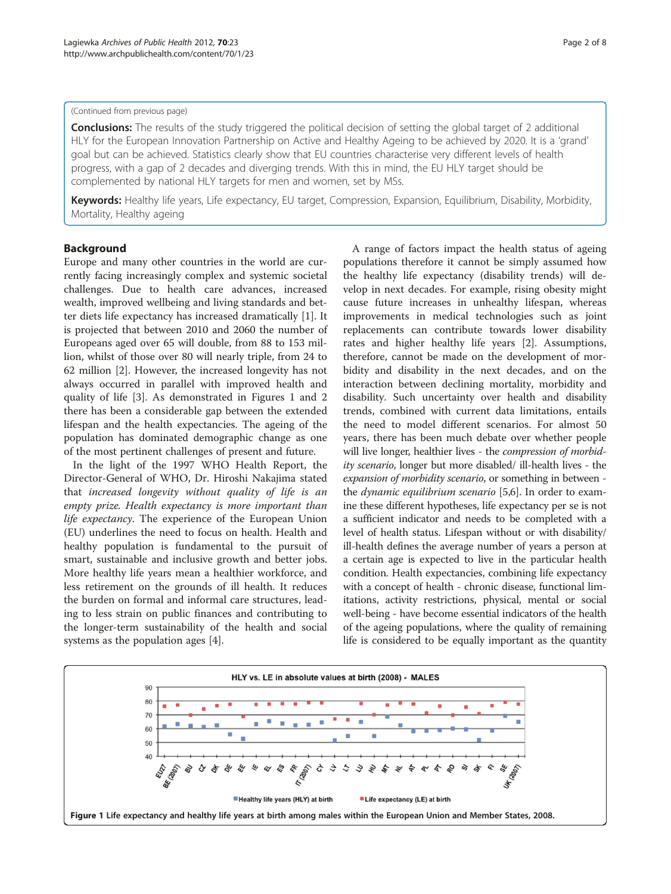### <span id="page-1-0"></span>(Continued from previous page)

**Conclusions:** The results of the study triggered the political decision of setting the global target of 2 additional HLY for the European Innovation Partnership on Active and Healthy Ageing to be achieved by 2020. It is a 'grand' goal but can be achieved. Statistics clearly show that EU countries characterise very different levels of health progress, with a gap of 2 decades and diverging trends. With this in mind, the EU HLY target should be complemented by national HLY targets for men and women, set by MSs.

Keywords: Healthy life years, Life expectancy, EU target, Compression, Expansion, Equilibrium, Disability, Morbidity, Mortality, Healthy ageing

## Background

Europe and many other countries in the world are currently facing increasingly complex and systemic societal challenges. Due to health care advances, increased wealth, improved wellbeing and living standards and better diets life expectancy has increased dramatically [[1\]](#page-6-0). It is projected that between 2010 and 2060 the number of Europeans aged over 65 will double, from 88 to 153 million, whilst of those over 80 will nearly triple, from 24 to 62 million [[2\]](#page-6-0). However, the increased longevity has not always occurred in parallel with improved health and quality of life [[3\]](#page-6-0). As demonstrated in Figures 1 and [2](#page-2-0) there has been a considerable gap between the extended lifespan and the health expectancies. The ageing of the population has dominated demographic change as one of the most pertinent challenges of present and future.

In the light of the 1997 WHO Health Report, the Director-General of WHO, Dr. Hiroshi Nakajima stated that increased longevity without quality of life is an empty prize. Health expectancy is more important than life expectancy. The experience of the European Union (EU) underlines the need to focus on health. Health and healthy population is fundamental to the pursuit of smart, sustainable and inclusive growth and better jobs. More healthy life years mean a healthier workforce, and less retirement on the grounds of ill health. It reduces the burden on formal and informal care structures, leading to less strain on public finances and contributing to the longer-term sustainability of the health and social systems as the population ages [[4](#page-6-0)].

A range of factors impact the health status of ageing populations therefore it cannot be simply assumed how the healthy life expectancy (disability trends) will develop in next decades. For example, rising obesity might cause future increases in unhealthy lifespan, whereas improvements in medical technologies such as joint replacements can contribute towards lower disability rates and higher healthy life years [[2\]](#page-6-0). Assumptions, therefore, cannot be made on the development of morbidity and disability in the next decades, and on the interaction between declining mortality, morbidity and disability. Such uncertainty over health and disability trends, combined with current data limitations, entails the need to model different scenarios. For almost 50 years, there has been much debate over whether people will live longer, healthier lives - the *compression of morbid*ity scenario, longer but more disabled/ ill-health lives - the expansion of morbidity scenario, or something in between the dynamic equilibrium scenario [\[5,6\]](#page-7-0). In order to examine these different hypotheses, life expectancy per se is not a sufficient indicator and needs to be completed with a level of health status. Lifespan without or with disability/ ill-health defines the average number of years a person at a certain age is expected to live in the particular health condition. Health expectancies, combining life expectancy with a concept of health - chronic disease, functional limitations, activity restrictions, physical, mental or social well-being - have become essential indicators of the health of the ageing populations, where the quality of remaining life is considered to be equally important as the quantity

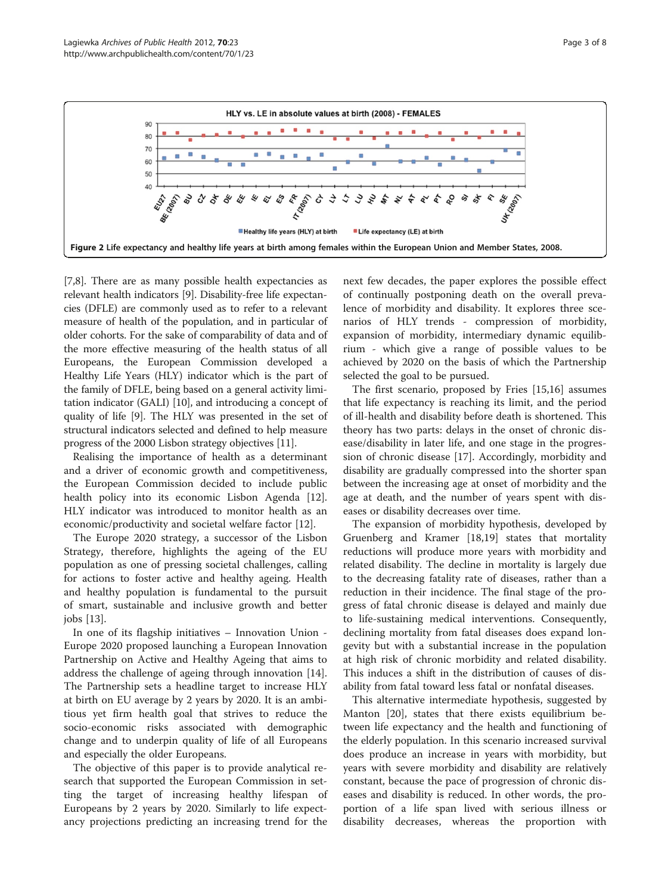<span id="page-2-0"></span>

[[7,8](#page-7-0)]. There are as many possible health expectancies as relevant health indicators [[9](#page-7-0)]. Disability-free life expectancies (DFLE) are commonly used as to refer to a relevant measure of health of the population, and in particular of older cohorts. For the sake of comparability of data and of the more effective measuring of the health status of all Europeans, the European Commission developed a Healthy Life Years (HLY) indicator which is the part of the family of DFLE, being based on a general activity limitation indicator (GALI) [\[10\]](#page-7-0), and introducing a concept of quality of life [\[9](#page-7-0)]. The HLY was presented in the set of structural indicators selected and defined to help measure progress of the 2000 Lisbon strategy objectives [[11](#page-7-0)].

Realising the importance of health as a determinant and a driver of economic growth and competitiveness, the European Commission decided to include public health policy into its economic Lisbon Agenda [\[12](#page-7-0)]. HLY indicator was introduced to monitor health as an economic/productivity and societal welfare factor [\[12](#page-7-0)].

The Europe 2020 strategy, a successor of the Lisbon Strategy, therefore, highlights the ageing of the EU population as one of pressing societal challenges, calling for actions to foster active and healthy ageing. Health and healthy population is fundamental to the pursuit of smart, sustainable and inclusive growth and better jobs [\[13](#page-7-0)].

In one of its flagship initiatives – Innovation Union - Europe 2020 proposed launching a European Innovation Partnership on Active and Healthy Ageing that aims to address the challenge of ageing through innovation [\[14](#page-7-0)]. The Partnership sets a headline target to increase HLY at birth on EU average by 2 years by 2020. It is an ambitious yet firm health goal that strives to reduce the socio-economic risks associated with demographic change and to underpin quality of life of all Europeans and especially the older Europeans.

The objective of this paper is to provide analytical research that supported the European Commission in setting the target of increasing healthy lifespan of Europeans by 2 years by 2020. Similarly to life expectancy projections predicting an increasing trend for the

next few decades, the paper explores the possible effect of continually postponing death on the overall prevalence of morbidity and disability. It explores three scenarios of HLY trends - compression of morbidity, expansion of morbidity, intermediary dynamic equilibrium - which give a range of possible values to be achieved by 2020 on the basis of which the Partnership selected the goal to be pursued.

The first scenario, proposed by Fries [[15,16\]](#page-7-0) assumes that life expectancy is reaching its limit, and the period of ill-health and disability before death is shortened. This theory has two parts: delays in the onset of chronic disease/disability in later life, and one stage in the progression of chronic disease [\[17](#page-7-0)]. Accordingly, morbidity and disability are gradually compressed into the shorter span between the increasing age at onset of morbidity and the age at death, and the number of years spent with diseases or disability decreases over time.

The expansion of morbidity hypothesis, developed by Gruenberg and Kramer [[18,19](#page-7-0)] states that mortality reductions will produce more years with morbidity and related disability. The decline in mortality is largely due to the decreasing fatality rate of diseases, rather than a reduction in their incidence. The final stage of the progress of fatal chronic disease is delayed and mainly due to life-sustaining medical interventions. Consequently, declining mortality from fatal diseases does expand longevity but with a substantial increase in the population at high risk of chronic morbidity and related disability. This induces a shift in the distribution of causes of disability from fatal toward less fatal or nonfatal diseases.

This alternative intermediate hypothesis, suggested by Manton [\[20](#page-7-0)], states that there exists equilibrium between life expectancy and the health and functioning of the elderly population. In this scenario increased survival does produce an increase in years with morbidity, but years with severe morbidity and disability are relatively constant, because the pace of progression of chronic diseases and disability is reduced. In other words, the proportion of a life span lived with serious illness or disability decreases, whereas the proportion with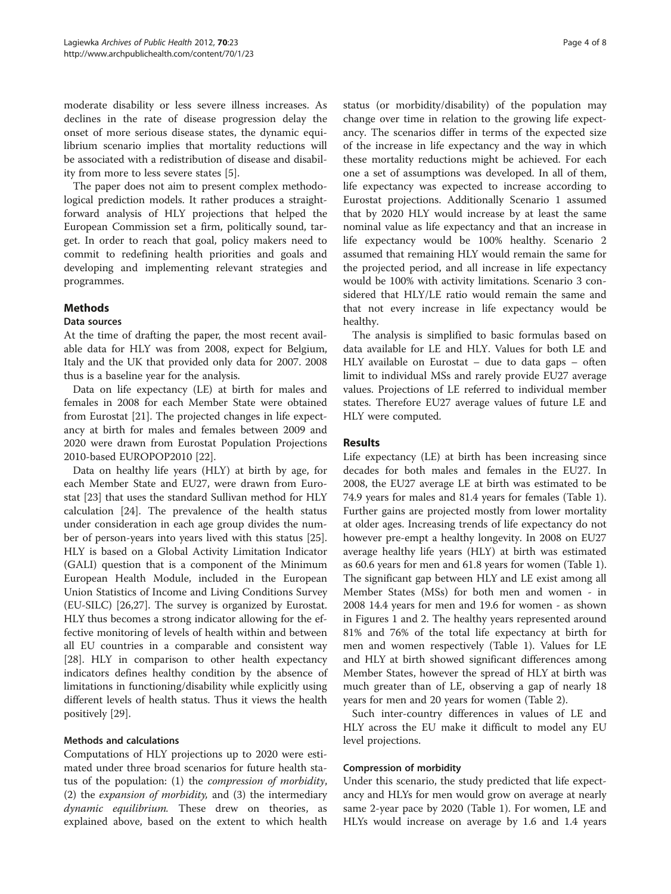moderate disability or less severe illness increases. As declines in the rate of disease progression delay the onset of more serious disease states, the dynamic equilibrium scenario implies that mortality reductions will be associated with a redistribution of disease and disability from more to less severe states [[5](#page-7-0)].

The paper does not aim to present complex methodological prediction models. It rather produces a straightforward analysis of HLY projections that helped the European Commission set a firm, politically sound, target. In order to reach that goal, policy makers need to commit to redefining health priorities and goals and developing and implementing relevant strategies and programmes.

## **Methods**

## Data sources

At the time of drafting the paper, the most recent available data for HLY was from 2008, expect for Belgium, Italy and the UK that provided only data for 2007. 2008 thus is a baseline year for the analysis.

Data on life expectancy (LE) at birth for males and females in 2008 for each Member State were obtained from Eurostat [\[21\]](#page-7-0). The projected changes in life expectancy at birth for males and females between 2009 and 2020 were drawn from Eurostat Population Projections 2010-based EUROPOP2010 [[22\]](#page-7-0).

Data on healthy life years (HLY) at birth by age, for each Member State and EU27, were drawn from Eurostat [\[23](#page-7-0)] that uses the standard Sullivan method for HLY calculation [\[24\]](#page-7-0). The prevalence of the health status under consideration in each age group divides the number of person-years into years lived with this status [\[25](#page-7-0)]. HLY is based on a Global Activity Limitation Indicator (GALI) question that is a component of the Minimum European Health Module, included in the European Union Statistics of Income and Living Conditions Survey (EU-SILC) [\[26,27](#page-7-0)]. The survey is organized by Eurostat. HLY thus becomes a strong indicator allowing for the effective monitoring of levels of health within and between all EU countries in a comparable and consistent way [[28\]](#page-7-0). HLY in comparison to other health expectancy indicators defines healthy condition by the absence of limitations in functioning/disability while explicitly using different levels of health status. Thus it views the health positively [\[29\]](#page-7-0).

## Methods and calculations

Computations of HLY projections up to 2020 were estimated under three broad scenarios for future health status of the population: (1) the compression of morbidity, (2) the expansion of morbidity, and (3) the intermediary dynamic equilibrium. These drew on theories, as explained above, based on the extent to which health

status (or morbidity/disability) of the population may change over time in relation to the growing life expectancy. The scenarios differ in terms of the expected size of the increase in life expectancy and the way in which these mortality reductions might be achieved. For each one a set of assumptions was developed. In all of them, life expectancy was expected to increase according to Eurostat projections. Additionally Scenario 1 assumed that by 2020 HLY would increase by at least the same nominal value as life expectancy and that an increase in life expectancy would be 100% healthy. Scenario 2 assumed that remaining HLY would remain the same for the projected period, and all increase in life expectancy would be 100% with activity limitations. Scenario 3 considered that HLY/LE ratio would remain the same and that not every increase in life expectancy would be healthy.

The analysis is simplified to basic formulas based on data available for LE and HLY. Values for both LE and HLY available on Eurostat – due to data gaps – often limit to individual MSs and rarely provide EU27 average values. Projections of LE referred to individual member states. Therefore EU27 average values of future LE and HLY were computed.

## Results

Life expectancy (LE) at birth has been increasing since decades for both males and females in the EU27. In 2008, the EU27 average LE at birth was estimated to be 74.9 years for males and 81.4 years for females (Table [1](#page-4-0)). Further gains are projected mostly from lower mortality at older ages. Increasing trends of life expectancy do not however pre-empt a healthy longevity. In 2008 on EU27 average healthy life years (HLY) at birth was estimated as 60.6 years for men and 61.8 years for women (Table [1](#page-4-0)). The significant gap between HLY and LE exist among all Member States (MSs) for both men and women - in 2008 14.4 years for men and 19.6 for women - as shown in Figures [1](#page-1-0) and [2.](#page-2-0) The healthy years represented around 81% and 76% of the total life expectancy at birth for men and women respectively (Table [1\)](#page-4-0). Values for LE and HLY at birth showed significant differences among Member States, however the spread of HLY at birth was much greater than of LE, observing a gap of nearly 18 years for men and 20 years for women (Table [2\)](#page-4-0).

Such inter-country differences in values of LE and HLY across the EU make it difficult to model any EU level projections.

## Compression of morbidity

Under this scenario, the study predicted that life expectancy and HLYs for men would grow on average at nearly same 2-year pace by 2020 (Table [1](#page-4-0)). For women, LE and HLYs would increase on average by 1.6 and 1.4 years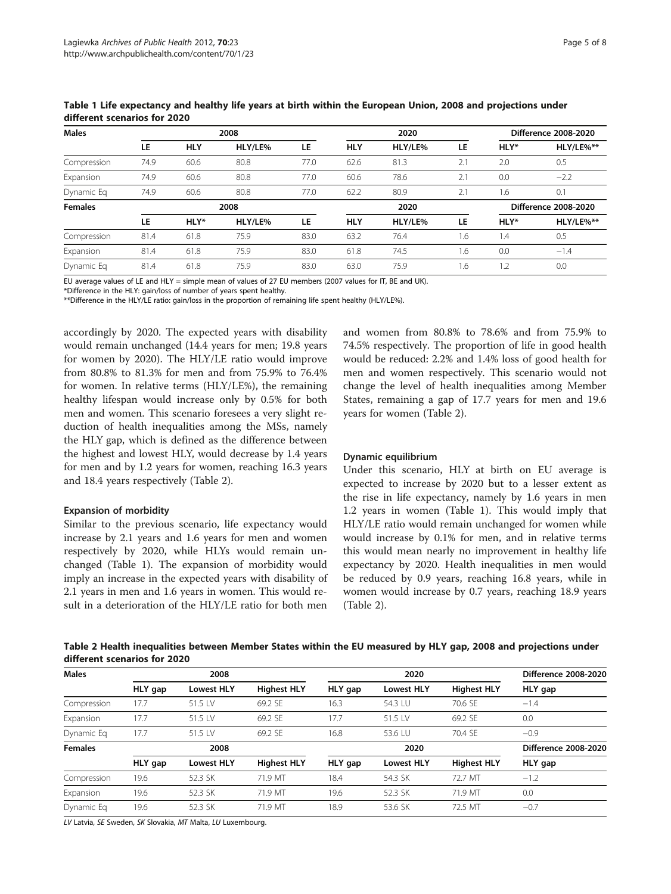| Page 5 of 8 |  |  |
|-------------|--|--|
|             |  |  |

| <b>Males</b>   | 2008 |            |         | 2020 |            |         | <b>Difference 2008-2020</b> |      |           |
|----------------|------|------------|---------|------|------------|---------|-----------------------------|------|-----------|
|                | LE   | <b>HLY</b> | HLY/LE% | LE   | <b>HLY</b> | HLY/LE% | LE                          | HLY* | HLY/LE%** |
| Compression    | 74.9 | 60.6       | 80.8    | 77.0 | 62.6       | 81.3    | 2.1                         | 2.0  | 0.5       |
| Expansion      | 74.9 | 60.6       | 80.8    | 77.0 | 60.6       | 78.6    | 2.1                         | 0.0  | $-2.2$    |
| Dynamic Eq     | 74.9 | 60.6       | 80.8    | 77.0 | 62.2       | 80.9    | 2.1                         | 1.6  | 0.1       |
| <b>Females</b> | 2008 |            |         | 2020 |            |         | <b>Difference 2008-2020</b> |      |           |
|                | LE   | HLY*       | HLY/LE% | LE   | <b>HLY</b> | HLY/LE% | LE                          | HLY* | HLY/LE%** |
| Compression    | 81.4 | 61.8       | 75.9    | 83.0 | 63.2       | 76.4    | 1.6                         | 1.4  | 0.5       |
| Expansion      | 81.4 | 61.8       | 75.9    | 83.0 | 61.8       | 74.5    | 1.6                         | 0.0  | $-1.4$    |
| Dynamic Eq     | 81.4 | 61.8       | 75.9    | 83.0 | 63.0       | 75.9    | 1.6                         | 1.2  | 0.0       |

<span id="page-4-0"></span>Table 1 Life expectancy and healthy life years at birth within the European Union, 2008 and projections under different scenarios for 2020

EU average values of LE and HLY = simple mean of values of 27 EU members (2007 values for IT, BE and UK).

\*Difference in the HLY: gain/loss of number of years spent healthy.

\*\*Difference in the HLY/LE ratio: gain/loss in the proportion of remaining life spent healthy (HLY/LE%).

accordingly by 2020. The expected years with disability would remain unchanged (14.4 years for men; 19.8 years for women by 2020). The HLY/LE ratio would improve from 80.8% to 81.3% for men and from 75.9% to 76.4% for women. In relative terms (HLY/LE%), the remaining healthy lifespan would increase only by 0.5% for both men and women. This scenario foresees a very slight reduction of health inequalities among the MSs, namely the HLY gap, which is defined as the difference between the highest and lowest HLY, would decrease by 1.4 years for men and by 1.2 years for women, reaching 16.3 years and 18.4 years respectively (Table 2).

### Expansion of morbidity

Similar to the previous scenario, life expectancy would increase by 2.1 years and 1.6 years for men and women respectively by 2020, while HLYs would remain unchanged (Table 1). The expansion of morbidity would imply an increase in the expected years with disability of 2.1 years in men and 1.6 years in women. This would result in a deterioration of the HLY/LE ratio for both men

and women from 80.8% to 78.6% and from 75.9% to 74.5% respectively. The proportion of life in good health would be reduced: 2.2% and 1.4% loss of good health for men and women respectively. This scenario would not change the level of health inequalities among Member States, remaining a gap of 17.7 years for men and 19.6 years for women (Table 2).

### Dynamic equilibrium

Under this scenario, HLY at birth on EU average is expected to increase by 2020 but to a lesser extent as the rise in life expectancy, namely by 1.6 years in men 1.2 years in women (Table 1). This would imply that HLY/LE ratio would remain unchanged for women while would increase by 0.1% for men, and in relative terms this would mean nearly no improvement in healthy life expectancy by 2020. Health inequalities in men would be reduced by 0.9 years, reaching 16.8 years, while in women would increase by 0.7 years, reaching 18.9 years (Table 2).

Table 2 Health inequalities between Member States within the EU measured by HLY gap, 2008 and projections under different scenarios for 2020

| <b>Males</b>   | 2008    |                   |                    | 2020    |                   |                    | <b>Difference 2008-2020</b> |
|----------------|---------|-------------------|--------------------|---------|-------------------|--------------------|-----------------------------|
|                | HLY gap | <b>Lowest HLY</b> | <b>Highest HLY</b> | HLY gap | <b>Lowest HLY</b> | <b>Highest HLY</b> | HLY gap                     |
| Compression    | 17.7    | 51.5 LV           | 69.2 SE            | 16.3    | 54.3 LU           | 70.6 SE            | $-1.4$                      |
| Expansion      | 17.7    | 51.5 LV           | 69.2 SE            | 17.7    | 51.5 LV           | 69.2 SE            | 0.0                         |
| Dynamic Eq     | 17.7    | 51.5 LV           | 69.2 SE            | 16.8    | 53.6 LU           | 70.4 SE            | $-0.9$                      |
| <b>Females</b> |         | 2008              |                    |         | 2020              |                    | <b>Difference 2008-2020</b> |
|                | HLY gap | <b>Lowest HLY</b> | <b>Highest HLY</b> | HLY gap | <b>Lowest HLY</b> | <b>Highest HLY</b> | HLY gap                     |
| Compression    | 19.6    | 52.3 SK           | 71.9 MT            | 18.4    | 54.3 SK           | 72.7 MT            | $-1.2$                      |
| Expansion      | 19.6    | 52.3 SK           | 71.9 MT            | 19.6    | 52.3 SK           | 71.9 MT            | 0.0                         |
| Dynamic Eq     | 19.6    | 52.3 SK           | 71.9 MT            | 18.9    | 53.6 SK           | 72.5 MT            | $-0.7$                      |

LV Latvia, SE Sweden, SK Slovakia, MT Malta, LU Luxembourg.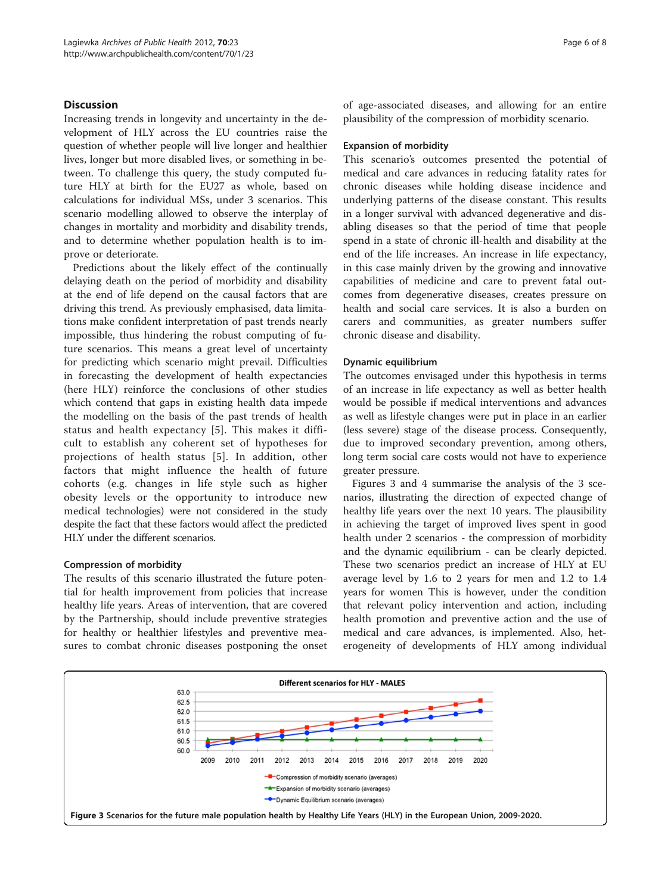### Discussion

Increasing trends in longevity and uncertainty in the development of HLY across the EU countries raise the question of whether people will live longer and healthier lives, longer but more disabled lives, or something in between. To challenge this query, the study computed future HLY at birth for the EU27 as whole, based on calculations for individual MSs, under 3 scenarios. This scenario modelling allowed to observe the interplay of changes in mortality and morbidity and disability trends, and to determine whether population health is to improve or deteriorate.

Predictions about the likely effect of the continually delaying death on the period of morbidity and disability at the end of life depend on the causal factors that are driving this trend. As previously emphasised, data limitations make confident interpretation of past trends nearly impossible, thus hindering the robust computing of future scenarios. This means a great level of uncertainty for predicting which scenario might prevail. Difficulties in forecasting the development of health expectancies (here HLY) reinforce the conclusions of other studies which contend that gaps in existing health data impede the modelling on the basis of the past trends of health status and health expectancy [[5\]](#page-7-0). This makes it difficult to establish any coherent set of hypotheses for projections of health status [[5](#page-7-0)]. In addition, other factors that might influence the health of future cohorts (e.g. changes in life style such as higher obesity levels or the opportunity to introduce new medical technologies) were not considered in the study despite the fact that these factors would affect the predicted HLY under the different scenarios.

### Compression of morbidity

The results of this scenario illustrated the future potential for health improvement from policies that increase healthy life years. Areas of intervention, that are covered by the Partnership, should include preventive strategies for healthy or healthier lifestyles and preventive measures to combat chronic diseases postponing the onset of age-associated diseases, and allowing for an entire plausibility of the compression of morbidity scenario.

### Expansion of morbidity

This scenario's outcomes presented the potential of medical and care advances in reducing fatality rates for chronic diseases while holding disease incidence and underlying patterns of the disease constant. This results in a longer survival with advanced degenerative and disabling diseases so that the period of time that people spend in a state of chronic ill-health and disability at the end of the life increases. An increase in life expectancy, in this case mainly driven by the growing and innovative capabilities of medicine and care to prevent fatal outcomes from degenerative diseases, creates pressure on health and social care services. It is also a burden on carers and communities, as greater numbers suffer chronic disease and disability.

### Dynamic equilibrium

The outcomes envisaged under this hypothesis in terms of an increase in life expectancy as well as better health would be possible if medical interventions and advances as well as lifestyle changes were put in place in an earlier (less severe) stage of the disease process. Consequently, due to improved secondary prevention, among others, long term social care costs would not have to experience greater pressure.

Figures 3 and [4](#page-6-0) summarise the analysis of the 3 scenarios, illustrating the direction of expected change of healthy life years over the next 10 years. The plausibility in achieving the target of improved lives spent in good health under 2 scenarios - the compression of morbidity and the dynamic equilibrium - can be clearly depicted. These two scenarios predict an increase of HLY at EU average level by 1.6 to 2 years for men and 1.2 to 1.4 years for women This is however, under the condition that relevant policy intervention and action, including health promotion and preventive action and the use of medical and care advances, is implemented. Also, heterogeneity of developments of HLY among individual

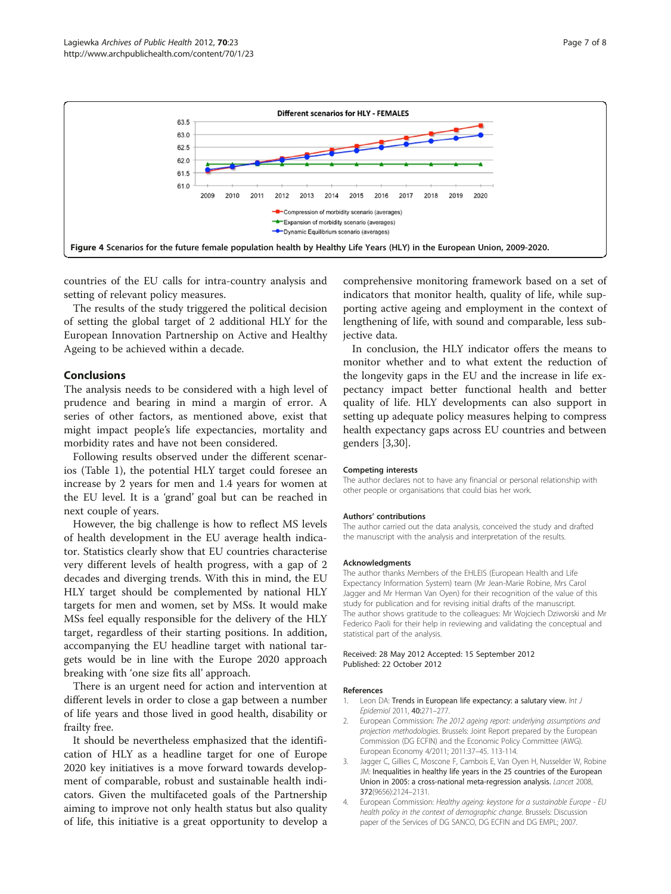<span id="page-6-0"></span>

Figure 4 Scenarios for the future female population health by Healthy Life Years (HLY) in the European Union, 2009-2020.

Compression of morbidity scenario (averages) Expansion of morbidity scenario (averages) - Dynamic Equilibrium scenario (averages)

countries of the EU calls for intra-country analysis and setting of relevant policy measures.

The results of the study triggered the political decision of setting the global target of 2 additional HLY for the European Innovation Partnership on Active and Healthy Ageing to be achieved within a decade.

### Conclusions

The analysis needs to be considered with a high level of prudence and bearing in mind a margin of error. A series of other factors, as mentioned above, exist that might impact people's life expectancies, mortality and morbidity rates and have not been considered.

Following results observed under the different scenarios (Table [1](#page-4-0)), the potential HLY target could foresee an increase by 2 years for men and 1.4 years for women at the EU level. It is a 'grand' goal but can be reached in next couple of years.

However, the big challenge is how to reflect MS levels of health development in the EU average health indicator. Statistics clearly show that EU countries characterise very different levels of health progress, with a gap of 2 decades and diverging trends. With this in mind, the EU HLY target should be complemented by national HLY targets for men and women, set by MSs. It would make MSs feel equally responsible for the delivery of the HLY target, regardless of their starting positions. In addition, accompanying the EU headline target with national targets would be in line with the Europe 2020 approach breaking with 'one size fits all' approach.

There is an urgent need for action and intervention at different levels in order to close a gap between a number of life years and those lived in good health, disability or frailty free.

It should be nevertheless emphasized that the identification of HLY as a headline target for one of Europe 2020 key initiatives is a move forward towards development of comparable, robust and sustainable health indicators. Given the multifaceted goals of the Partnership aiming to improve not only health status but also quality of life, this initiative is a great opportunity to develop a

comprehensive monitoring framework based on a set of indicators that monitor health, quality of life, while supporting active ageing and employment in the context of lengthening of life, with sound and comparable, less subjective data.

In conclusion, the HLY indicator offers the means to monitor whether and to what extent the reduction of the longevity gaps in the EU and the increase in life expectancy impact better functional health and better quality of life. HLY developments can also support in setting up adequate policy measures helping to compress health expectancy gaps across EU countries and between genders [3,[30](#page-7-0)].

#### Competing interests

The author declares not to have any financial or personal relationship with other people or organisations that could bias her work.

#### Authors' contributions

The author carried out the data analysis, conceived the study and drafted the manuscript with the analysis and interpretation of the results.

#### Acknowledgments

The author thanks Members of the EHLEIS (European Health and Life Expectancy Information System) team (Mr Jean-Marie Robine, Mrs Carol Jagger and Mr Herman Van Oyen) for their recognition of the value of this study for publication and for revising initial drafts of the manuscript. The author shows gratitude to the colleagues: Mr Wojciech Dziworski and Mr Federico Paoli for their help in reviewing and validating the conceptual and statistical part of the analysis.

#### Received: 28 May 2012 Accepted: 15 September 2012 Published: 22 October 2012

#### References

- 1. Leon DA: Trends in European life expectancy: a salutary view. Int J Epidemiol 2011, 40:271–277.
- European Commission: The 2012 ageing report: underlying assumptions and projection methodologies. Brussels: Joint Report prepared by the European Commission (DG ECFIN) and the Economic Policy Committee (AWG). European Economy 4/2011; 2011:37–45. 113-114.
- 3. Jagger C, Gillies C, Moscone F, Cambois E, Van Oyen H, Nusselder W, Robine JM: Inequalities in healthy life years in the 25 countries of the European Union in 2005: a cross-national meta-regression analysis. Lancet 2008, 372(9656):2124–2131.
- 4. European Commission: Healthy ageing: keystone for a sustainable Europe EU health policy in the context of demographic change. Brussels: Discussion paper of the Services of DG SANCO, DG ECFIN and DG EMPL; 2007.